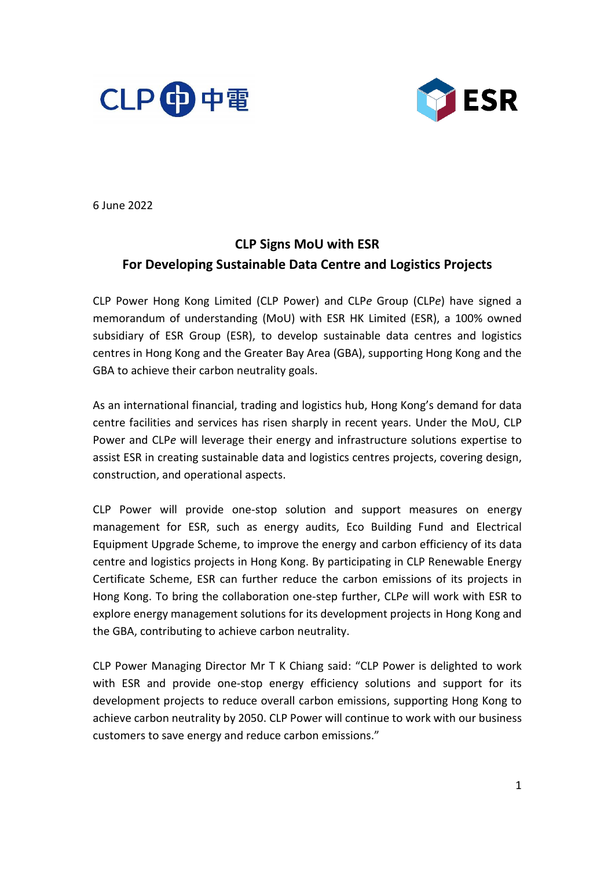



6 June 2022

# **CLP Signs MoU with ESR For Developing Sustainable Data Centre and Logistics Projects**

CLP Power Hong Kong Limited (CLP Power) and CLP*e* Group (CLP*e*) have signed a memorandum of understanding (MoU) with ESR HK Limited (ESR), a 100% owned subsidiary of ESR Group (ESR), to develop sustainable data centres and logistics centres in Hong Kong and the Greater Bay Area (GBA), supporting Hong Kong and the GBA to achieve their carbon neutrality goals.

As an international financial, trading and logistics hub, Hong Kong's demand for data centre facilities and services has risen sharply in recent years. Under the MoU, CLP Power and CLP*e* will leverage their energy and infrastructure solutions expertise to assist ESR in creating sustainable data and logistics centres projects, covering design, construction, and operational aspects.

CLP Power will provide one-stop solution and support measures on energy management for ESR, such as energy audits, Eco Building Fund and Electrical Equipment Upgrade Scheme, to improve the energy and carbon efficiency of its data centre and logistics projects in Hong Kong. By participating in CLP Renewable Energy Certificate Scheme, ESR can further reduce the carbon emissions of its projects in Hong Kong. To bring the collaboration one-step further, CLP*e* will work with ESR to explore energy management solutions for its development projects in Hong Kong and the GBA, contributing to achieve carbon neutrality.

CLP Power Managing Director Mr T K Chiang said: "CLP Power is delighted to work with ESR and provide one-stop energy efficiency solutions and support for its development projects to reduce overall carbon emissions, supporting Hong Kong to achieve carbon neutrality by 2050. CLP Power will continue to work with our business customers to save energy and reduce carbon emissions."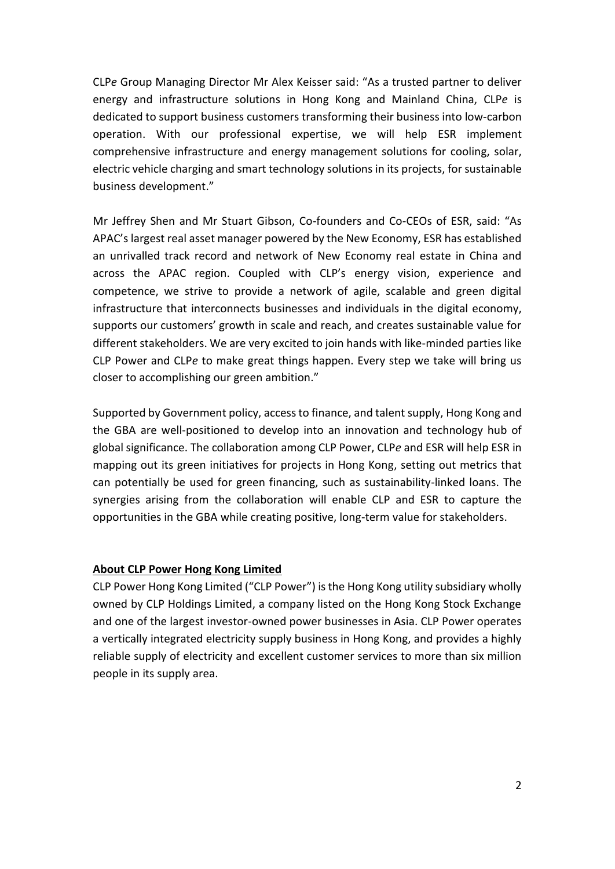CLP*e* Group Managing Director Mr Alex Keisser said: "As a trusted partner to deliver energy and infrastructure solutions in Hong Kong and Mainland China, CLP*e* is dedicated to support business customers transforming their business into low-carbon operation. With our professional expertise, we will help ESR implement comprehensive infrastructure and energy management solutions for cooling, solar, electric vehicle charging and smart technology solutions in its projects, for sustainable business development."

Mr Jeffrey Shen and Mr Stuart Gibson, Co-founders and Co-CEOs of ESR, said: "As APAC's largest real asset manager powered by the New Economy, ESR has established an unrivalled track record and network of New Economy real estate in China and across the APAC region. Coupled with CLP's energy vision, experience and competence, we strive to provide a network of agile, scalable and green digital infrastructure that interconnects businesses and individuals in the digital economy, supports our customers' growth in scale and reach, and creates sustainable value for different stakeholders. We are very excited to join hands with like-minded parties like CLP Power and CLP*e* to make great things happen. Every step we take will bring us closer to accomplishing our green ambition."

Supported by Government policy, access to finance, and talent supply, Hong Kong and the GBA are well-positioned to develop into an innovation and technology hub of global significance. The collaboration among CLP Power, CLP*e* and ESR will help ESR in mapping out its green initiatives for projects in Hong Kong, setting out metrics that can potentially be used for green financing, such as sustainability-linked loans. The synergies arising from the collaboration will enable CLP and ESR to capture the opportunities in the GBA while creating positive, long-term value for stakeholders.

# **About CLP Power Hong Kong Limited**

CLP Power Hong Kong Limited ("CLP Power") is the Hong Kong utility subsidiary wholly owned by CLP Holdings Limited, a company listed on the Hong Kong Stock Exchange and one of the largest investor-owned power businesses in Asia. CLP Power operates a vertically integrated electricity supply business in Hong Kong, and provides a highly reliable supply of electricity and excellent customer services to more than six million people in its supply area.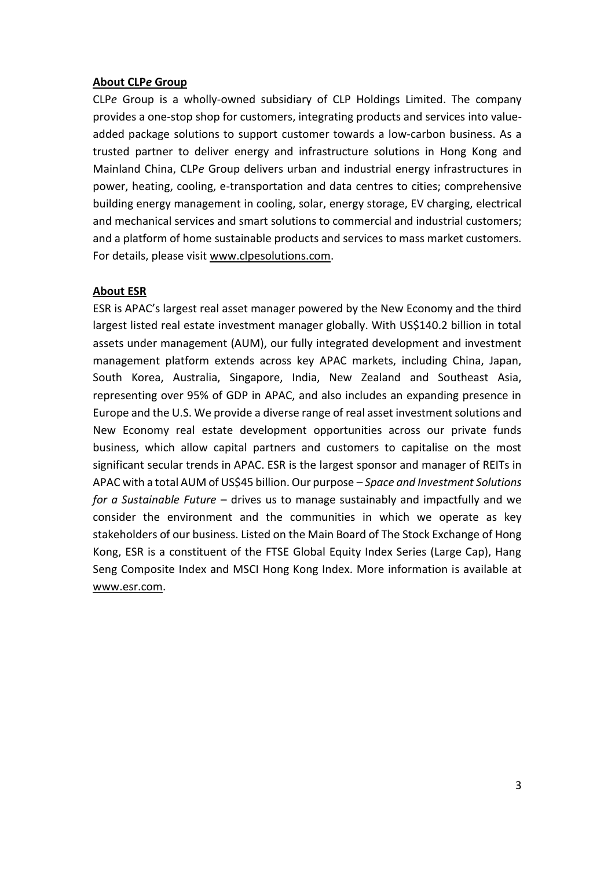# **About CLP***e* **Group**

CLP*e* Group is a wholly-owned subsidiary of CLP Holdings Limited. The company provides a one-stop shop for customers, integrating products and services into valueadded package solutions to support customer towards a low-carbon business. As a trusted partner to deliver energy and infrastructure solutions in Hong Kong and Mainland China, CLP*e* Group delivers urban and industrial energy infrastructures in power, heating, cooling, e-transportation and data centres to cities; comprehensive building energy management in cooling, solar, energy storage, EV charging, electrical and mechanical services and smart solutions to commercial and industrial customers; and a platform of home sustainable products and services to mass market customers. For details, please visit [www.clpesolutions.com.](http://www.clpesolutions.com/)

#### **About ESR**

ESR is APAC's largest real asset manager powered by the New Economy and the third largest listed real estate investment manager globally. With US\$140.2 billion in total assets under management (AUM), our fully integrated development and investment management platform extends across key APAC markets, including China, Japan, South Korea, Australia, Singapore, India, New Zealand and Southeast Asia, representing over 95% of GDP in APAC, and also includes an expanding presence in Europe and the U.S. We provide a diverse range of real asset investment solutions and New Economy real estate development opportunities across our private funds business, which allow capital partners and customers to capitalise on the most significant secular trends in APAC. ESR is the largest sponsor and manager of REITs in APAC with a total AUM of US\$45 billion. Our purpose – *Space and Investment Solutions for a Sustainable Future* – drives us to manage sustainably and impactfully and we consider the environment and the communities in which we operate as key stakeholders of our business. Listed on the Main Board of The Stock Exchange of Hong Kong, ESR is a constituent of the FTSE Global Equity Index Series (Large Cap), Hang Seng Composite Index and MSCI Hong Kong Index. More information is available at [www.esr.com.](http://www.esr.com/)